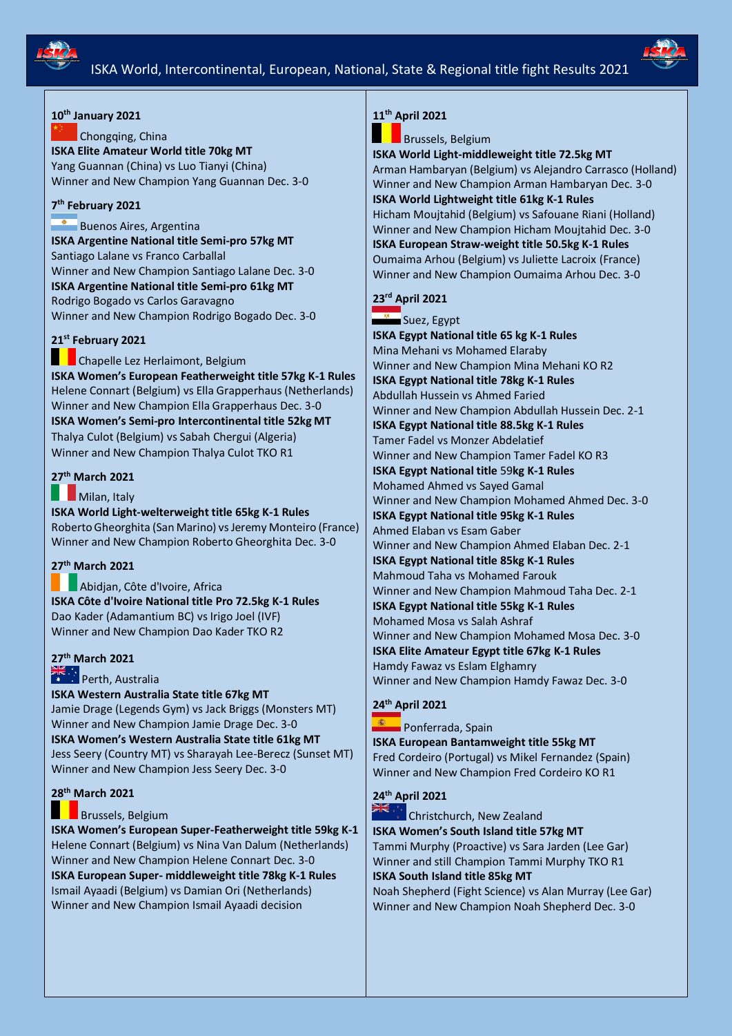



## **10th January 2021**

Chongqing, China **ISKA Elite Amateur World title 70kg MT** Yang Guannan (China) vs Luo Tianyi (China) Winner and New Champion Yang Guannan Dec. 3-0

### **7 th February 2021**

Buenos Aires, Argentina **ISKA Argentine National title Semi-pro 57kg MT** Santiago Lalane vs Franco Carballal Winner and New Champion Santiago Lalane Dec. 3-0 **ISKA Argentine National title Semi-pro 61kg MT** Rodrigo Bogado vs Carlos Garavagno Winner and New Champion Rodrigo Bogado Dec. 3-0

### **21st February 2021**

**Chapelle Lez Herlaimont, Belgium ISKA Women's European Featherweight title 57kg K-1 Rules**  Helene Connart (Belgium) vs Ella Grapperhaus (Netherlands) Winner and New Champion Ella Grapperhaus Dec. 3-0 **ISKA Women's Semi-pro Intercontinental title 52kg MT** Thalya Culot (Belgium) vs Sabah Chergui (Algeria) Winner and New Champion Thalya Culot TKO R1

### **27th March 2021**

#### Milan, Italy

**ISKA World Light-welterweight title 65kg K-1 Rules** Roberto Gheorghita (San Marino) vs Jeremy Monteiro (France) Winner and New Champion Roberto Gheorghita Dec. 3-0

### **27th March 2021**

Abidjan, Côte d'Ivoire, Africa **ISKA Côte d'Ivoire National title Pro 72.5kg K-1 Rules**  Dao Kader (Adamantium BC) vs Irigo Joel (IVF) Winner and New Champion Dao Kader TKO R2

## **[27](https://www.google.co.uk/url?sa=i&rct=j&q=&esrc=s&source=imgres&cd=&cad=rja&uact=8&ved=0ahUKEwi3xdXpqo7NAhWoLcAKHRQbD_4QjRwIBw&url=https://en.wikipedia.org/wiki/Flag_of_Australia&psig=AFQjCNGi_hNqcoX3F73Pf3HclDgVp9H-fA&ust=1465128420131220)th March 2021**

## **Perth, Australia**

**ISKA Western Australia State title 67kg MT** 

Jamie Drage (Legends Gym) vs Jack Briggs (Monsters MT) Winner and New Champion Jamie Drage Dec. 3-0 **ISKA Women's Western Australia State title 61kg MT** Jess Seery (Country MT) vs Sharayah Lee-Berecz (Sunset MT) Winner and New Champion Jess Seery Dec. 3-0

### **28th March 2021**

### Brussels, Belgium

**ISKA Women's European Super-Featherweight title 59kg K-1**  Helene Connart (Belgium) vs Nina Van Dalum (Netherlands) Winner and New Champion Helene Connart Dec. 3-0 **ISKA European Super- middleweight title 78kg K-1 Rules** Ismail Ayaadi (Belgium) vs Damian Ori (Netherlands) Winner and New Champion Ismail Ayaadi decision

## **11th April 2021**

### Brussels, Belgium

**ISKA World Light-middleweight title 72.5kg MT** Arman Hambaryan (Belgium) vs Alejandro Carrasco (Holland) Winner and New Champion Arman Hambaryan Dec. 3-0 **ISKA World Lightweight title 61kg K-1 Rules** Hicham Moujtahid (Belgium) vs Safouane Riani (Holland) Winner and New Champion Hicham Moujtahid Dec. 3-0 **ISKA European Straw-weight title 50.5kg K-1 Rules** Oumaima Arhou (Belgium) vs Juliette Lacroix (France) Winner and New Champion Oumaima Arhou Dec. 3-0

## **23rd April 2021**

Suez, Egypt

**ISKA Egypt National title 65 kg K-1 Rules**  Mina Mehani vs Mohamed Elaraby Winner and New Champion Mina Mehani KO R2 **ISKA Egypt National title 78kg K-1 Rules**  Abdullah Hussein vs Ahmed Faried Winner and New Champion Abdullah Hussein Dec. 2-1 **ISKA Egypt National title 88.5kg K-1 Rules**  Tamer Fadel vs Monzer Abdelatief Winner and New Champion Tamer Fadel KO R3 **ISKA Egypt National title** 59**kg K-1 Rules**  Mohamed Ahmed vs Sayed Gamal Winner and New Champion Mohamed Ahmed Dec. 3-0 **ISKA Egypt National title 95kg K-1 Rules**  Ahmed Elaban vs Esam Gaber Winner and New Champion Ahmed Elaban Dec. 2-1 **ISKA Egypt National title 85kg K-1 Rules**  Mahmoud Taha vs Mohamed Farouk Winner and New Champion Mahmoud Taha Dec. 2-1 **ISKA Egypt National title 55kg K-1 Rules**  Mohamed Mosa vs Salah Ashraf Winner and New Champion Mohamed Mosa Dec. 3-0 **ISKA Elite Amateur Egypt title 67kg K-1 Rules** Hamdy Fawaz vs Eslam Elghamry Winner and New Champion Hamdy Fawaz Dec. 3-0

### **24th April 2021**

Ponferrada, Spain

**ISKA European Bantamweight title 55kg MT**  Fred Cordeiro (Portugal) vs Mikel Fernandez (Spain) Winner and New Champion Fred Cordeiro KO R1

## **24th April 2021**

ैं. व्या Christchurch, New Zealand **ISKA Women's South Island title 57kg MT**  Tammi Murphy (Proactive) vs Sara Jarden (Lee Gar) Winner and still Champion Tammi Murphy TKO R1 **ISKA South Island title 85kg MT**

Noah Shepherd (Fight Science) vs Alan Murray (Lee Gar) Winner and New Champion Noah Shepherd Dec. 3-0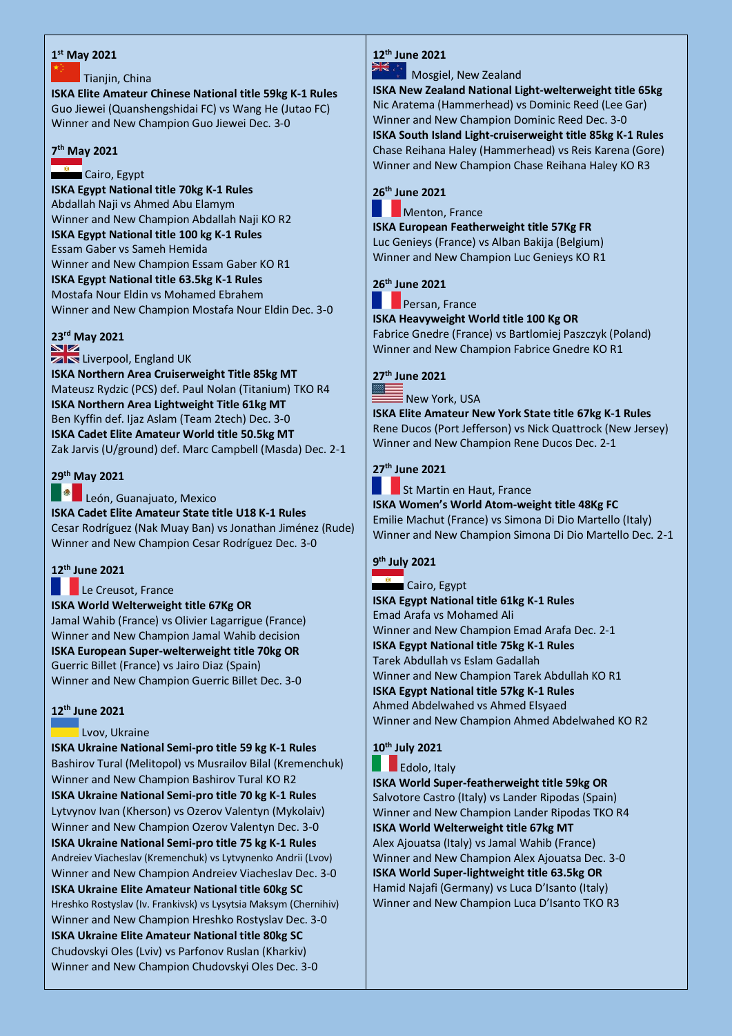### **1 st May 2021**

### Tianjin, China

**ISKA Elite Amateur Chinese National title 59kg K-1 Rules** Guo Jiewei (Quanshengshidai FC) vs Wang He (Jutao FC) Winner and New Champion Guo Jiewei Dec. 3-0

## **7 th May 2021**

Cairo, Egypt

**ISKA Egypt National title 70kg K-1 Rules**  Abdallah Naji vs Ahmed Abu Elamym Winner and New Champion Abdallah Naji KO R2 **ISKA Egypt National title 100 kg K-1 Rules**  Essam Gaber vs Sameh Hemida Winner and New Champion Essam Gaber KO R1 **ISKA Egypt National title 63.5kg K-1 Rules**  Mostafa Nour Eldin vs Mohamed Ebrahem Winner and New Champion Mostafa Nour Eldin Dec. 3-0

## **23rd May 2021**

**ZIN** Liverpool, England UK

**ISKA Northern Area Cruiserweight Title 85kg MT** Mateusz Rydzic (PCS) def. Paul Nolan (Titanium) TKO R4 **ISKA Northern Area Lightweight Title 61kg MT** Ben Kyffin def. Ijaz Aslam (Team 2tech) Dec. 3-0 **ISKA Cadet Elite Amateur World title 50.5kg MT** Zak Jarvis (U/ground) def. Marc Campbell (Masda) Dec. 2-1

## **29th May 2021**

León, Guanajuato, Mexico

**ISKA Cadet Elite Amateur State title U18 K-1 Rules**  Cesar Rodríguez (Nak Muay Ban) vs Jonathan Jiménez (Rude) Winner and New Champion Cesar Rodríguez Dec. 3-0

## **12th June 2021**

Le Creusot, France

**ISKA World Welterweight title 67Kg OR** Jamal Wahib (France) vs Olivier Lagarrigue (France) Winner and New Champion Jamal Wahib decision **ISKA European Super-welterweight title 70kg OR** Guerric Billet (France) vs Jairo Diaz (Spain) Winner and New Champion Guerric Billet Dec. 3-0

## **12th June 2021**

### Lvov, Ukraine

**ISKA Ukraine National Semi-pro title 59 kg K-1 Rules** Bashirov Tural (Melitopol) vs Musrailov Bilal (Kremenchuk) Winner and New Champion Bashirov Tural KO R2 **ISKA Ukraine National Semi-pro title 70 kg K-1 Rules** Lytvynov Ivan (Kherson) vs Ozerov Valentyn (Mykolaiv) Winner and New Champion Ozerov Valentyn Dec. 3-0 **ISKA Ukraine National Semi-pro title 75 kg K-1 Rules** Andreiev Viacheslav (Kremenchuk) vs Lytvynenko Andrii (Lvov) Winner and New Champion Andreiev Viacheslav Dec. 3-0 **ISKA Ukraine Elite Amateur National title 60kg SC** Hreshko Rostyslav (Iv. Frankivsk) vs Lysytsia Maksym (Chernihiv) Winner and New Champion Hreshko Rostyslav Dec. 3-0 **ISKA Ukraine Elite Amateur National title 80kg SC** Chudovskyi Oles (Lviv) vs Parfonov Ruslan (Kharkiv) Winner and New Champion Chudovskyi Oles Dec. 3-0

## **12th June 2021**

Mosgiel, New Zealand

**ISKA New Zealand National Light-welterweight title 65kg**  Nic Aratema (Hammerhead) vs Dominic Reed (Lee Gar) Winner and New Champion Dominic Reed Dec. 3-0 **ISKA South Island Light-cruiserweight title 85kg K-1 Rules** Chase Reihana Haley (Hammerhead) vs Reis Karena (Gore) Winner and New Champion Chase Reihana Haley KO R3

## **26th June 2021**

**Menton, France** 

**ISKA European Featherweight title 57Kg FR** Luc Genieys (France) vs Alban Bakija (Belgium) Winner and New Champion Luc Genieys KO R1

## **26th June 2021**

Persan, France

**ISKA Heavyweight World title 100 Kg OR** 

Fabrice Gnedre (France) vs Bartlomiej Paszczyk (Poland) Winner and New Champion Fabrice Gnedre KO R1

## **27th June 2021**

 $\bar{\bar{\mathsf{E}}}$  New York, USA

**ISKA Elite Amateur New York State title 67kg K-1 Rules** Rene Ducos (Port Jefferson) vs Nick Quattrock (New Jersey) Winner and New Champion Rene Ducos Dec. 2-1

## **27th June 2021**

St Martin en Haut, France **ISKA Women's World Atom-weight title 48Kg FC** Emilie Machut (France) vs Simona Di Dio Martello (Italy) Winner and New Champion Simona Di Dio Martello Dec. 2-1

## **9 th July 2021**

Cairo, Egypt **ISKA Egypt National title 61kg K-1 Rules**  Emad Arafa vs Mohamed Ali Winner and New Champion Emad Arafa Dec. 2-1 **ISKA Egypt National title 75kg K-1 Rules**  Tarek Abdullah vs Eslam Gadallah Winner and New Champion Tarek Abdullah KO R1 **ISKA Egypt National title 57kg K-1 Rules**  Ahmed Abdelwahed vs Ahmed Elsyaed Winner and New Champion Ahmed Abdelwahed KO R2

## **10th July 2021**

Edolo, Italy

**ISKA World Super-featherweight title 59kg OR** Salvotore Castro (Italy) vs Lander Ripodas (Spain) Winner and New Champion Lander Ripodas TKO R4 **ISKA World Welterweight title 67kg MT** Alex Ajouatsa (Italy) vs Jamal Wahib (France) Winner and New Champion Alex Ajouatsa Dec. 3-0 **ISKA World Super-lightweight title 63.5kg OR** Hamid Najafi (Germany) vs Luca D'Isanto (Italy) Winner and New Champion Luca D'Isanto TKO R3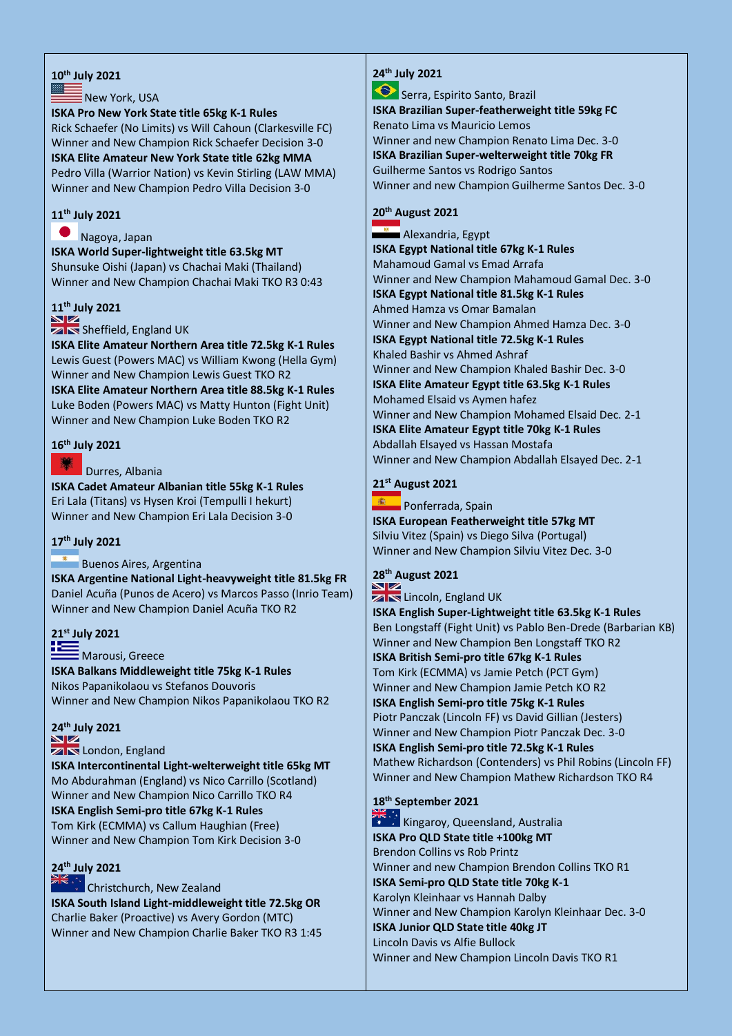### **10th July 2021**

#### $\bar{\bar{\mathsf{E}}}$  New York, USA

#### **ISKA Pro New York State title 65kg K-1 Rules**

Rick Schaefer (No Limits) vs Will Cahoun (Clarkesville FC) Winner and New Champion Rick Schaefer Decision 3-0 **ISKA Elite Amateur New York State title 62kg MMA** Pedro Villa (Warrior Nation) vs Kevin Stirling (LAW MMA) Winner and New Champion Pedro Villa Decision 3-0

## **11th July 2021**

#### Nagoya, Japan

**ISKA World Super-lightweight title 63.5kg MT** Shunsuke Oishi (Japan) vs Chachai Maki (Thailand) Winner and New Champion Chachai Maki TKO R3 0:43

## **11th July 2021**

### **ZIN** Sheffield, England UK

**ISKA Elite Amateur Northern Area title 72.5kg K-1 Rules** Lewis Guest (Powers MAC) vs William Kwong (Hella Gym) Winner and New Champion Lewis Guest TKO R2 **ISKA Elite Amateur Northern Area title 88.5kg K-1 Rules** Luke Boden (Powers MAC) vs Matty Hunton (Fight Unit) Winner and New Champion Luke Boden TKO R2

### **16th July 2021**

### Durres, Albania

**ISKA Cadet Amateur Albanian title 55kg K-1 Rules**  Eri Lala (Titans) vs Hysen Kroi (Tempulli I hekurt) Winner and New Champion Eri Lala Decision 3-0

### **17th July 2021**

### Buenos Aires, Argentina

**ISKA Argentine National Light-heavyweight title 81.5kg FR** Daniel Acuña (Punos de Acero) vs Marcos Passo (Inrio Team) Winner and New Champion Daniel Acuña TKO R2

## **21st July 2021**

# Marousi, Greece

**ISKA Balkans Middleweight title 75kg K-1 Rules**  Nikos Papanikolaou vs Stefanos Douvoris Winner and New Champion Nikos Papanikolaou TKO R2

### **24th July 2021**

## **ZIN** London, England

**ISKA Intercontinental Light-welterweight title 65kg MT**  Mo Abdurahman (England) vs Nico Carrillo (Scotland) Winner and New Champion Nico Carrillo TKO R4 **ISKA English Semi-pro title 67kg K-1 Rules** Tom Kirk (ECMMA) vs Callum Haughian (Free) Winner and New Champion Tom Kirk Decision 3-0

## **24th July 2021**

Christchurch, New Zealand **ISKA South Island Light-middleweight title 72.5kg OR** Charlie Baker (Proactive) vs Avery Gordon (MTC) Winner and New Champion Charlie Baker TKO R3 1:45

## **24th July 2021**

◈ Serra, Espirito Santo, Brazil **ISKA Brazilian Super-featherweight title 59kg FC**  Renato Lima vs Mauricio Lemos Winner and new Champion Renato Lima Dec. 3-0 **ISKA Brazilian Super-welterweight title 70kg FR**  Guilherme Santos vs Rodrigo Santos Winner and new Champion Guilherme Santos Dec. 3-0

## **20th August 2021**

Alexandria, Egypt **ISKA Egypt National title 67kg K-1 Rules**  Mahamoud Gamal vs Emad Arrafa Winner and New Champion Mahamoud Gamal Dec. 3-0 **ISKA Egypt National title 81.5kg K-1 Rules**  Ahmed Hamza vs Omar Bamalan Winner and New Champion Ahmed Hamza Dec. 3-0 **ISKA Egypt National title 72.5kg K-1 Rules**  Khaled Bashir vs Ahmed Ashraf Winner and New Champion Khaled Bashir Dec. 3-0 **ISKA Elite Amateur Egypt title 63.5kg K-1 Rules** Mohamed Elsaid vs Aymen hafez Winner and New Champion Mohamed Elsaid Dec. 2-1 **ISKA Elite Amateur Egypt title 70kg K-1 Rules** Abdallah Elsayed vs Hassan Mostafa Winner and New Champion Abdallah Elsayed Dec. 2-1

### **21st August 2021**

● 電 → **Ponferrada, Spain ISKA European Featherweight title 57kg MT**  Silviu Vitez (Spain) vs Diego Silva (Portugal) Winner and New Champion Silviu Vitez Dec. 3-0

## **28th August 2021**

**ZIN** Lincoln, England UK **ISKA English Super-Lightweight title 63.5kg K-1 Rules** Ben Longstaff (Fight Unit) vs Pablo Ben-Drede (Barbarian KB) Winner and New Champion Ben Longstaff TKO R2 **ISKA British Semi-pro title 67kg K-1 Rules**  Tom Kirk (ECMMA) vs Jamie Petch (PCT Gym) Winner and New Champion Jamie Petch KO R2 **ISKA English Semi-pro title 75kg K-1 Rules**  Piotr Panczak (Lincoln FF) vs David Gillian (Jesters) Winner and New Champion Piotr Panczak Dec. 3-0 **ISKA English Semi-pro title 72.5kg K-1 Rules** Mathew Richardson (Contenders) vs Phil Robins (Lincoln FF) Winner and New Champion Mathew Richardson TKO R4

## **18th September 2021**

**Kingaroy, Queensland, Australia ISKA Pro QLD State title +100kg MT** Brendon Collins vs Rob Printz Winner and new Champion Brendon Collins TKO R1 **ISKA Semi-pro QLD State title 70kg K-1** Karolyn Kleinhaar vs Hannah Dalby Winner and New Champion Karolyn Kleinhaar Dec. 3-0 **ISKA Junior QLD State title 40kg JT**  Lincoln Davis vs Alfie Bullock Winner and New Champion Lincoln Davis TKO R1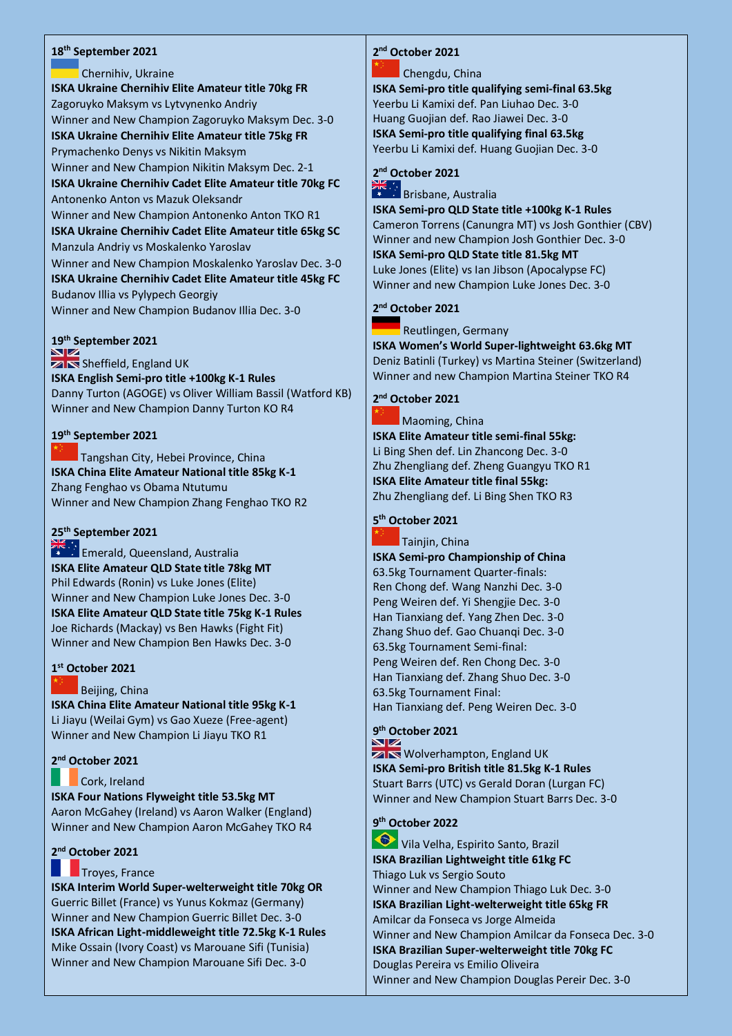### **18th September 2021**

Chernihiv, Ukraine **ISKA Ukraine Chernihiv Elite Amateur title 70kg FR** Zagoruyko Maksym vs Lytvynenko Andriy Winner and New Champion Zagoruyko Maksym Dec. 3-0 **ISKA Ukraine Chernihiv Elite Amateur title 75kg FR** Prymachenko Denys vs Nikitin Maksym Winner and New Champion Nikitin Maksym Dec. 2-1 **ISKA Ukraine Chernihiv Cadet Elite Amateur title 70kg FC** Antonenko Anton vs Mazuk Oleksandr Winner and New Champion Antonenko Anton TKO R1 **ISKA Ukraine Chernihiv Cadet Elite Amateur title 65kg SC** Manzula Andriy vs Moskalenko Yaroslav Winner and New Champion Moskalenko Yaroslav Dec. 3-0 **ISKA Ukraine Chernihiv Cadet Elite Amateur title 45kg FC** Budanov Illia vs Pylypech Georgiy Winner and New Champion Budanov Illia Dec. 3-0

## **19th September 2021**

**ZIN** Sheffield, England UK **ISKA English Semi-pro title +100kg K-1 Rules**  Danny Turton (AGOGE) vs Oliver William Bassil (Watford KB) Winner and New Champion Danny Turton KO R4

### **19th September 2021**

Tangshan City, Hebei Province, China **ISKA China Elite Amateur National title 85kg K-1**  Zhang Fenghao vs Obama Ntutumu Winner and New Champion Zhang Fenghao TKO R2

## **25th September 2021**

**Emerald, Queensland, Australia ISKA Elite Amateur QLD State title 78kg MT** Phil Edwards (Ronin) vs Luke Jones (Elite) Winner and New Champion Luke Jones Dec. 3-0 **ISKA Elite Amateur QLD State title 75kg K-1 Rules** Joe Richards (Mackay) vs Ben Hawks (Fight Fit) Winner and New Champion Ben Hawks Dec. 3-0

## **1 st October 2021**

### Beijing, China

**ISKA China Elite Amateur National title 95kg K-1**  Li Jiayu (Weilai Gym) vs Gao Xueze (Free-agent) Winner and New Champion Li Jiayu TKO R1

### **2 nd October 2021**

### Cork, Ireland

**ISKA Four Nations Flyweight title 53.5kg MT** Aaron McGahey (Ireland) vs Aaron Walker (England) Winner and New Champion Aaron McGahey TKO R4

### **2 nd October 2021**

### **The Troyes, France**

**ISKA Interim World Super-welterweight title 70kg OR** Guerric Billet (France) vs Yunus Kokmaz (Germany) Winner and New Champion Guerric Billet Dec. 3-0 **ISKA African Light-middleweight title 72.5kg K-1 Rules** Mike Ossain (Ivory Coast) vs Marouane Sifi (Tunisia) Winner and New Champion Marouane Sifi Dec. 3-0

## **2 nd October 2021**

### Chengdu, China

**ISKA Semi-pro title qualifying semi-final 63.5kg** Yeerbu Li Kamixi def. Pan Liuhao Dec. 3-0 Huang Guojian def. Rao Jiawei Dec. 3-0 **ISKA Semi-pro title qualifying final 63.5kg** Yeerbu Li Kamixi def. Huang Guojian Dec. 3-0



## Brisbane, Australia

**ISKA Semi-pro QLD State title +100kg K-1 Rules** Cameron Torrens (Canungra MT) vs Josh Gonthier (CBV) Winner and new Champion Josh Gonthier Dec. 3-0 **ISKA Semi-pro QLD State title 81.5kg MT** Luke Jones (Elite) vs Ian Jibson (Apocalypse FC) Winner and new Champion Luke Jones Dec. 3-0

### **2 nd October 2021**

Reutlingen, Germany

**ISKA Women's World Super-lightweight 63.6kg MT** Deniz Batinli (Turkey) vs Martina Steiner (Switzerland) Winner and new Champion Martina Steiner TKO R4

## **2 nd October 2021**

Maoming, China **ISKA Elite Amateur title semi-final 55kg:**  Li Bing Shen def. Lin Zhancong Dec. 3-0 Zhu Zhengliang def. Zheng Guangyu TKO R1 **ISKA Elite Amateur title final 55kg:**  Zhu Zhengliang def. Li Bing Shen TKO R3

## **5 th October 2021**

Tainjin, China

**ISKA Semi-pro Championship of China** 63.5kg Tournament Quarter-finals: Ren Chong def. Wang Nanzhi Dec. 3-0 Peng Weiren def. Yi Shengjie Dec. 3-0 Han Tianxiang def. Yang Zhen Dec. 3-0 Zhang Shuo def. Gao Chuangi Dec. 3-0 63.5kg Tournament Semi-final: Peng Weiren def. Ren Chong Dec. 3-0 Han Tianxiang def. Zhang Shuo Dec. 3-0 63.5kg Tournament Final: Han Tianxiang def. Peng Weiren Dec. 3-0

## **9 th October 2021**

 $\overline{\mathbb{Z}}$  Wolverhampton, England UK **ISKA Semi-pro British title 81.5kg K-1 Rules** Stuart Barrs (UTC) vs Gerald Doran (Lurgan FC) Winner and New Champion Stuart Barrs Dec. 3-0

## **9 th October 2022**

Vila Velha, Espirito Santo, Brazil **ISKA Brazilian Lightweight title 61kg FC** Thiago Luk vs Sergio Souto Winner and New Champion Thiago Luk Dec. 3-0 **ISKA Brazilian Light-welterweight title 65kg FR** Amilcar da Fonseca vs Jorge Almeida Winner and New Champion Amilcar da Fonseca Dec. 3-0 **ISKA Brazilian Super-welterweight title 70kg FC** Douglas Pereira vs Emilio Oliveira Winner and New Champion Douglas Pereir Dec. 3-0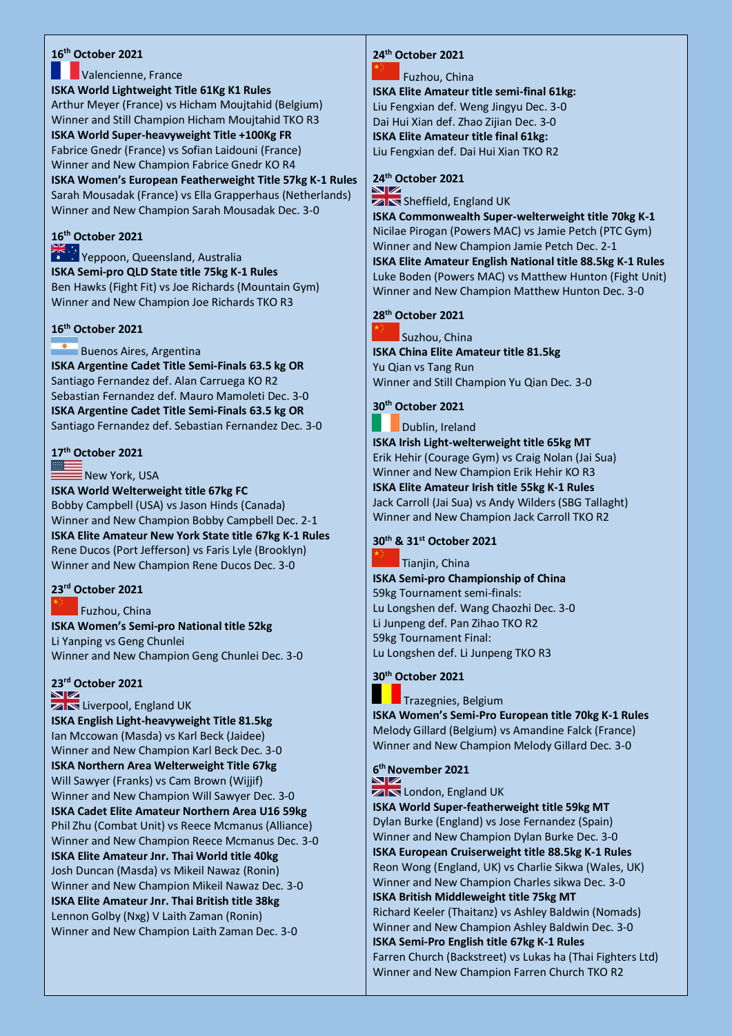## **16th October 2021**

### **Valencienne, France ISKA World Lightweight Title 61Kg K1 Rules** Arthur Meyer (France) vs Hicham Moujtahid (Belgium) Winner and Still Champion Hicham Moujtahid TKO R3 **ISKA World Super-heavyweight Title +100Kg FR** Fabrice Gnedr (France) vs Sofian Laidouni (France) Winner and New Champion Fabrice Gnedr KO R4 **ISKA Women's European Featherweight Title 57kg K-1 Rules**

Sarah Mousadak (France) vs Ella Grapperhaus (Netherlands) Winner and New Champion Sarah Mousadak Dec. 3-0

## **[16](https://www.google.co.uk/url?sa=i&rct=j&q=&esrc=s&source=imgres&cd=&cad=rja&uact=8&ved=0ahUKEwi3xdXpqo7NAhWoLcAKHRQbD_4QjRwIBw&url=https://en.wikipedia.org/wiki/Flag_of_Australia&psig=AFQjCNGi_hNqcoX3F73Pf3HclDgVp9H-fA&ust=1465128420131220)th October 2021**

**Yappoon, Queensland, Australia ISKA Semi-pro QLD State title 75kg K-1 Rules** Ben Hawks (Fight Fit) vs Joe Richards (Mountain Gym) Winner and New Champion Joe Richards TKO R3

### **16th October 2021**

## **Buenos Aires, Argentina**

**ISKA Argentine Cadet Title Semi-Finals 63.5 kg OR** Santiago Fernandez def. Alan Carruega KO R2 Sebastian Fernandez def. Mauro Mamoleti Dec. 3-0 **ISKA Argentine Cadet Title Semi-Finals 63.5 kg OR** Santiago Fernandez def. Sebastian Fernandez Dec. 3-0

### **17th October 2021**

New York, USA

**ISKA World Welterweight title 67kg FC** Bobby Campbell (USA) vs Jason Hinds (Canada) Winner and New Champion Bobby Campbell Dec. 2-1 **ISKA Elite Amateur New York State title 67kg K-1 Rules** Rene Ducos (Port Jefferson) vs Faris Lyle (Brooklyn) Winner and New Champion Rene Ducos Dec. 3-0

## **23rd October 2021**

### Fuzhou, China

**ISKA Women's Semi-pro National title 52kg** Li Yanping vs Geng Chunlei Winner and New Champion Geng Chunlei Dec. 3-0

## **23rd October 2021**

**ZIN** Liverpool, England UK **ISKA English Light-heavyweight Title 81.5kg** Ian Mccowan (Masda) vs Karl Beck (Jaidee) Winner and New Champion Karl Beck Dec. 3-0 **ISKA Northern Area Welterweight Title 67kg** Will Sawyer (Franks) vs Cam Brown (Wijjif) Winner and New Champion Will Sawyer Dec. 3-0 **ISKA Cadet Elite Amateur Northern Area U16 59kg** Phil Zhu (Combat Unit) vs Reece Mcmanus (Alliance) Winner and New Champion Reece Mcmanus Dec. 3-0 **ISKA Elite Amateur Jnr. Thai World title 40kg** Josh Duncan (Masda) vs Mikeil Nawaz (Ronin) Winner and New Champion Mikeil Nawaz Dec. 3-0 **ISKA Elite Amateur Jnr. Thai British title 38kg** Lennon Golby (Nxg) V Laith Zaman (Ronin) Winner and New Champion Laith Zaman Dec. 3-0

## **24th October 2021**

### Fuzhou, China

**ISKA Elite Amateur title semi-final 61kg:**  Liu Fengxian def. Weng Jingyu Dec. 3-0 Dai Hui Xian def. Zhao Zijian Dec. 3-0 **ISKA Elite Amateur title final 61kg:**  Liu Fengxian def. Dai Hui Xian TKO R2

## **24th October 2021**

**ZIN** Sheffield, England UK

**ISKA Commonwealth Super-welterweight title 70kg K-1** Nicilae Pirogan (Powers MAC) vs Jamie Petch (PTC Gym) Winner and New Champion Jamie Petch Dec. 2-1 **ISKA Elite Amateur English National title 88.5kg K-1 Rules**  Luke Boden (Powers MAC) vs Matthew Hunton (Fight Unit) Winner and New Champion Matthew Hunton Dec. 3-0

### **28 th October 2021**

Suzhou, China

**ISKA China Elite Amateur title 81.5kg** Yu Qian vs Tang Run Winner and Still Champion Yu Qian Dec. 3-0

## **30th October 2021**

Dublin, Ireland

**ISKA Irish Light-welterweight title 65kg MT** Erik Hehir (Courage Gym) vs Craig Nolan (Jai Sua) Winner and New Champion Erik Hehir KO R3 **ISKA Elite Amateur Irish title 55kg K-1 Rules** Jack Carroll (Jai Sua) vs Andy Wilders (SBG Tallaght) Winner and New Champion Jack Carroll TKO R2

## **30th & 31st October 2021**

Tianiin, China

**ISKA Semi-pro Championship of China**  59kg Tournament semi-finals: Lu Longshen def. Wang Chaozhi Dec. 3-0 Li Junpeng def. Pan Zihao TKO R2 59kg Tournament Final: Lu Longshen def. Li Junpeng TKO R3

## **30th October 2021**

Trazegnies, Belgium

**ISKA Women's Semi-Pro European title 70kg K-1 Rules** Melody Gillard (Belgium) vs Amandine Falck (France) Winner and New Champion Melody Gillard Dec. 3-0

### **6 th November 2021**

**ZIN** London, England UK

**ISKA World Super-featherweight title 59kg MT** Dylan Burke (England) vs Jose Fernandez (Spain) Winner and New Champion Dylan Burke Dec. 3-0 **ISKA European Cruiserweight title 88.5kg K-1 Rules**  Reon Wong (England, UK) vs Charlie Sikwa (Wales, UK) Winner and New Champion Charles sikwa Dec. 3-0 **ISKA British Middleweight title 75kg MT**  Richard Keeler (Thaitanz) vs Ashley Baldwin (Nomads) Winner and New Champion Ashley Baldwin Dec. 3-0 **ISKA Semi-Pro English title 67kg K-1 Rules** Farren Church (Backstreet) vs Lukas ha (Thai Fighters Ltd) Winner and New Champion Farren Church TKO R2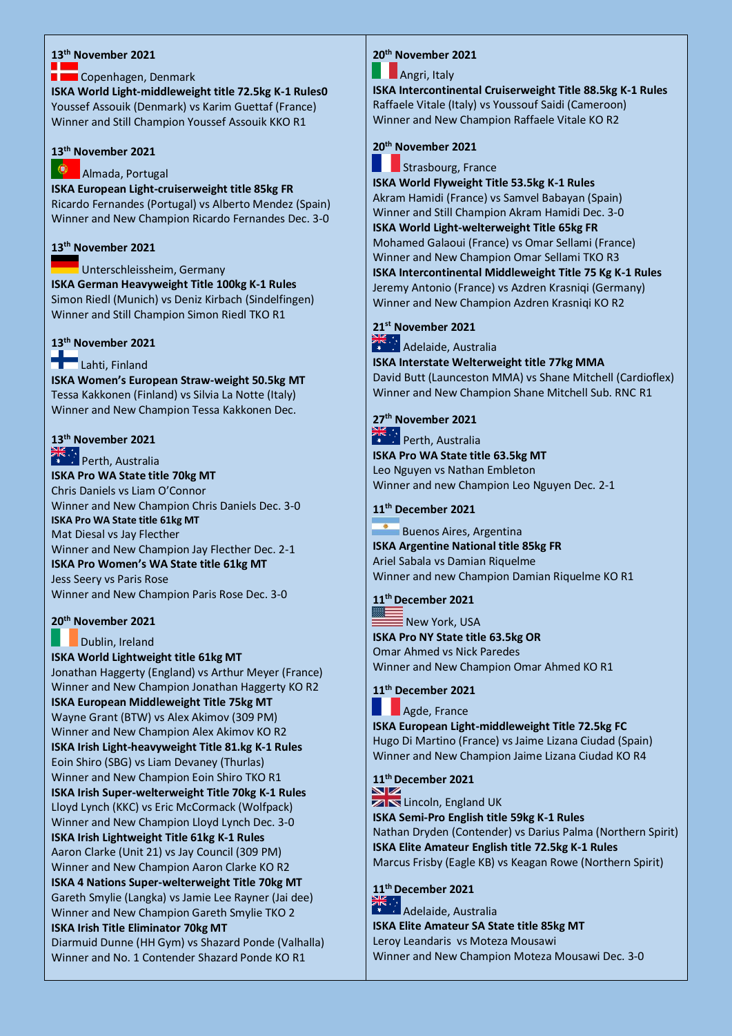### **13th November 2021**

### Copenhagen, Denmark

**ISKA World Light-middleweight title 72.5kg K-1 Rules0** Youssef Assouik (Denmark) vs Karim Guettaf (France) Winner and Still Champion Youssef Assouik KKO R1

### **[13](https://www.google.co.uk/url?sa=i&rct=j&q=&esrc=s&source=imgres&cd=&cad=rja&uact=8&ved=0ahUKEwjA9-_nw7jUAhVCxxQKHSl3DmAQjRwIBw&url=https://en.wikipedia.org/wiki/Flag_of_Portugal&psig=AFQjCNFq4uoOusN5kZLduqV4oz_rmCUZxg&ust=1497364561868577)th November 2021**

#### ۰ Almada, Portugal

**ISKA European Light-cruiserweight title 85kg FR**  Ricardo Fernandes (Portugal) vs Alberto Mendez (Spain) Winner and New Champion Ricardo Fernandes Dec. 3-0

### **13th November 2021**

Unterschleissheim, Germany **ISKA German Heavyweight Title 100kg K-1 Rules** Simon Riedl (Munich) vs Deniz Kirbach (Sindelfingen) Winner and Still Champion Simon Riedl TKO R1

## **13th November 2021**

## Lahti, Finland

**ISKA Women's European Straw-weight 50.5kg MT** Tessa Kakkonen (Finland) vs Silvia La Notte (Italy) Winner and New Champion Tessa Kakkonen Dec.

## **13th November 2021**

### Perth, Australia **ISKA Pro WA State title 70kg MT** Chris Daniels vs Liam O'Connor Winner and New Champion Chris Daniels Dec. 3-0 **ISKA Pro WA State title 61kg MT** Mat Diesal vs Jay Flecther Winner and New Champion Jay Flecther Dec. 2-1 **ISKA Pro Women's WA State title 61kg MT** Jess Seery vs Paris Rose Winner and New Champion Paris Rose Dec. 3-0

## **20th November 2021**

Dublin, Ireland

**ISKA World Lightweight title 61kg MT** Jonathan Haggerty (England) vs Arthur Meyer (France) Winner and New Champion Jonathan Haggerty KO R2 **ISKA European Middleweight Title 75kg MT** Wayne Grant (BTW) vs Alex Akimov (309 PM) Winner and New Champion Alex Akimov KO R2 **ISKA Irish Light-heavyweight Title 81.kg K-1 Rules** Eoin Shiro (SBG) vs Liam Devaney (Thurlas) Winner and New Champion Eoin Shiro TKO R1 **ISKA Irish Super-welterweight Title 70kg K-1 Rules** Lloyd Lynch (KKC) vs Eric McCormack (Wolfpack) Winner and New Champion Lloyd Lynch Dec. 3-0 **ISKA Irish Lightweight Title 61kg K-1 Rules** Aaron Clarke (Unit 21) vs Jay Council (309 PM) Winner and New Champion Aaron Clarke KO R2 **ISKA 4 Nations Super-welterweight Title 70kg MT** Gareth Smylie (Langka) vs Jamie Lee Rayner (Jai dee) Winner and New Champion Gareth Smylie TKO 2 **ISKA Irish Title Eliminator 70kg MT** Diarmuid Dunne (HH Gym) vs Shazard Ponde (Valhalla) Winner and No. 1 Contender Shazard Ponde KO R1

## **20th November 2021**

## **Angri**, Italy

**ISKA Intercontinental Cruiserweight Title 88.5kg K-1 Rules**  Raffaele Vitale (Italy) vs Youssouf Saidi (Cameroon) Winner and New Champion Raffaele Vitale KO R2

## **20th November 2021**

Strasbourg, France

**ISKA World Flyweight Title 53.5kg K-1 Rules** Akram Hamidi (France) vs Samvel Babayan (Spain) Winner and Still Champion Akram Hamidi Dec. 3-0 **ISKA World Light-welterweight Title 65kg FR** Mohamed Galaoui (France) vs Omar Sellami (France) Winner and New Champion Omar Sellami TKO R3 **ISKA Intercontinental Middleweight Title 75 Kg K-1 Rules** Jeremy Antonio (France) vs Azdren Krasniqi (Germany) Winner and New Champion Azdren Krasniqi KO R2

## **21st November 2021**

 $\frac{2\pi}{\pi}$  : Adelaide, Australia

**ISKA Interstate Welterweight title 77kg MMA** David Butt (Launceston MMA) vs Shane Mitchell (Cardioflex) Winner and New Champion Shane Mitchell Sub. RNC R1

## **27th November 2021**

**Perth, Australia ISKA Pro WA State title 63.5kg MT** Leo Nguyen vs Nathan Embleton Winner and new Champion Leo Nguyen Dec. 2-1

### **11th December 2021**

Buenos Aires, Argentina **ISKA Argentine National title 85kg FR** Ariel Sabala vs Damian Riquelme Winner and new Champion Damian Riquelme KO R1

## **[11](http://www.bing.com/images/search?q=American+Flag&view=detailv2&&&id=A42315885069DFB4BC35A9C02879BED994A98243&selectedIndex=0&ccid=zxM%2bVCtP&simid=608050924517526443&thid=JN.irErhBxnVa85KCpIowiveA)th December 2021**

 $\bar{\bar{\mathsf{B}}}$  New York, USA **ISKA Pro NY State title 63.5kg OR** Omar Ahmed vs Nick Paredes Winner and New Champion Omar Ahmed KO R1

### **11th December 2021**

Agde, France

**ISKA European Light-middleweight Title 72.5kg FC**  Hugo Di Martino (France) vs Jaime Lizana Ciudad (Spain) Winner and New Champion Jaime Lizana Ciudad KO R4

## **11th December 2021**

**ZIN** Lincoln, England UK

**ISKA Semi-Pro English title 59kg K-1 Rules** Nathan Dryden (Contender) vs Darius Palma (Northern Spirit) **ISKA Elite Amateur English title 72.5kg K-1 Rules** Marcus Frisby (Eagle KB) vs Keagan Rowe (Northern Spirit)

## **11th December 2021**

**Adelaide**, Australia **ISKA Elite Amateur SA State title 85kg MT** Leroy Leandaris vs Moteza Mousawi Winner and New Champion Moteza Mousawi Dec. 3-0